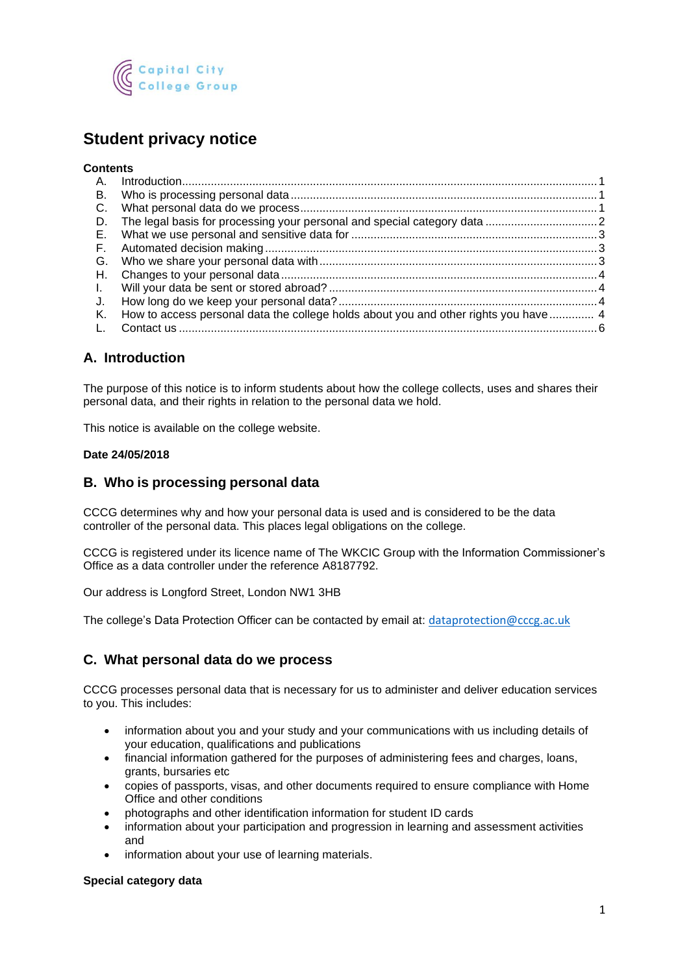

# **Student privacy notice**

#### **Contents**

| A.   |                                                                                     |  |
|------|-------------------------------------------------------------------------------------|--|
| В.   |                                                                                     |  |
| C.   |                                                                                     |  |
| D.   |                                                                                     |  |
| E.   |                                                                                     |  |
|      |                                                                                     |  |
|      |                                                                                     |  |
|      |                                                                                     |  |
| . I. |                                                                                     |  |
| J.   |                                                                                     |  |
| К.   | How to access personal data the college holds about you and other rights you have 4 |  |
|      |                                                                                     |  |

# <span id="page-0-0"></span>**A. Introduction**

The purpose of this notice is to inform students about how the college collects, uses and shares their personal data, and their rights in relation to the personal data we hold.

This notice is available on the college website.

#### **Date 24/05/2018**

### <span id="page-0-1"></span>**B. Who is processing personal data**

CCCG determines why and how your personal data is used and is considered to be the data controller of the personal data. This places legal obligations on the college.

CCCG is registered under its licence name of The WKCIC Group with the Information Commissioner's Office as a data controller under the reference A8187792.

Our address is Longford Street, London NW1 3HB

The college's Data Protection Officer can be contacted by email at: [dataprotection@cccg.ac.uk](mailto:dataprotection@cccg.ac.uk)

### <span id="page-0-2"></span>**C. What personal data do we process**

CCCG processes personal data that is necessary for us to administer and deliver education services to you. This includes:

- information about you and your study and your communications with us including details of your education, qualifications and publications
- financial information gathered for the purposes of administering fees and charges, loans, grants, bursaries etc
- copies of passports, visas, and other documents required to ensure compliance with Home Office and other conditions
- photographs and other identification information for student ID cards
- information about your participation and progression in learning and assessment activities and
- information about your use of learning materials.

#### **Special category data**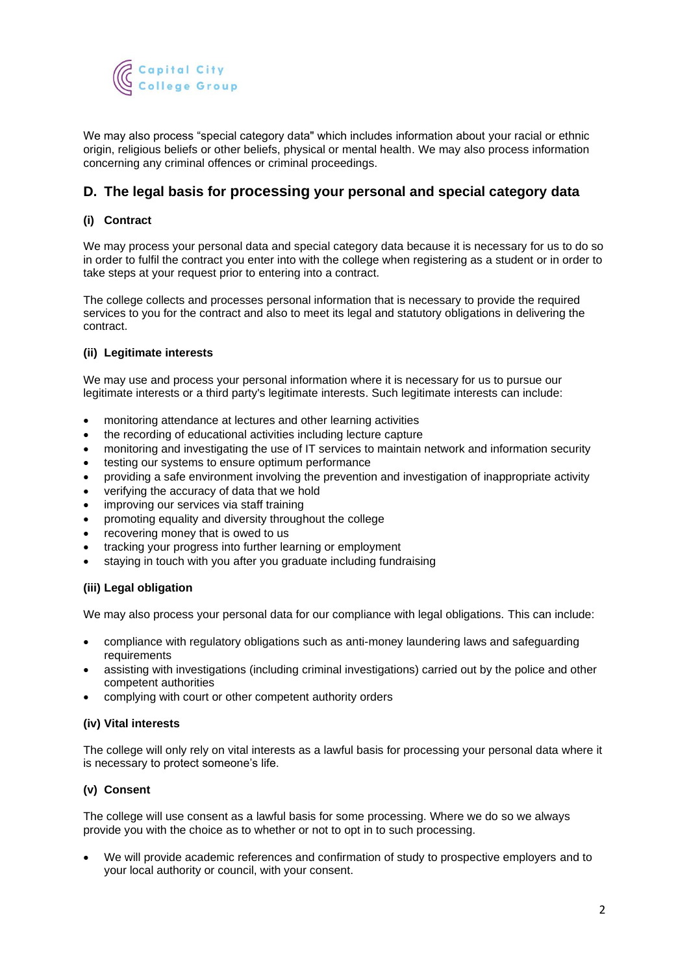

We may also process "special category data" which includes information about your racial or ethnic origin, religious beliefs or other beliefs, physical or mental health. We may also process information concerning any criminal offences or criminal proceedings.

# <span id="page-1-0"></span>**D. The legal basis for processing your personal and special category data**

#### **(i) Contract**

We may process your personal data and special category data because it is necessary for us to do so in order to fulfil the contract you enter into with the college when registering as a student or in order to take steps at your request prior to entering into a contract.

The college collects and processes personal information that is necessary to provide the required services to you for the contract and also to meet its legal and statutory obligations in delivering the contract.

#### **(ii) Legitimate interests**

We may use and process your personal information where it is necessary for us to pursue our legitimate interests or a third party's legitimate interests. Such legitimate interests can include:

- monitoring attendance at lectures and other learning activities
- the recording of educational activities including lecture capture
- monitoring and investigating the use of IT services to maintain network and information security
- testing our systems to ensure optimum performance
- providing a safe environment involving the prevention and investigation of inappropriate activity
- verifying the accuracy of data that we hold
- improving our services via staff training
- promoting equality and diversity throughout the college
- recovering money that is owed to us
- tracking your progress into further learning or employment
- staying in touch with you after you graduate including fundraising

#### **(iii) Legal obligation**

We may also process your personal data for our compliance with legal obligations. This can include:

- compliance with regulatory obligations such as anti-money laundering laws and safeguarding requirements
- assisting with investigations (including criminal investigations) carried out by the police and other competent authorities
- complying with court or other competent authority orders

#### **(iv) Vital interests**

The college will only rely on vital interests as a lawful basis for processing your personal data where it is necessary to protect someone's life.

#### **(v) Consent**

The college will use consent as a lawful basis for some processing. Where we do so we always provide you with the choice as to whether or not to opt in to such processing.

• We will provide academic references and confirmation of study to prospective employers and to your local authority or council, with your consent.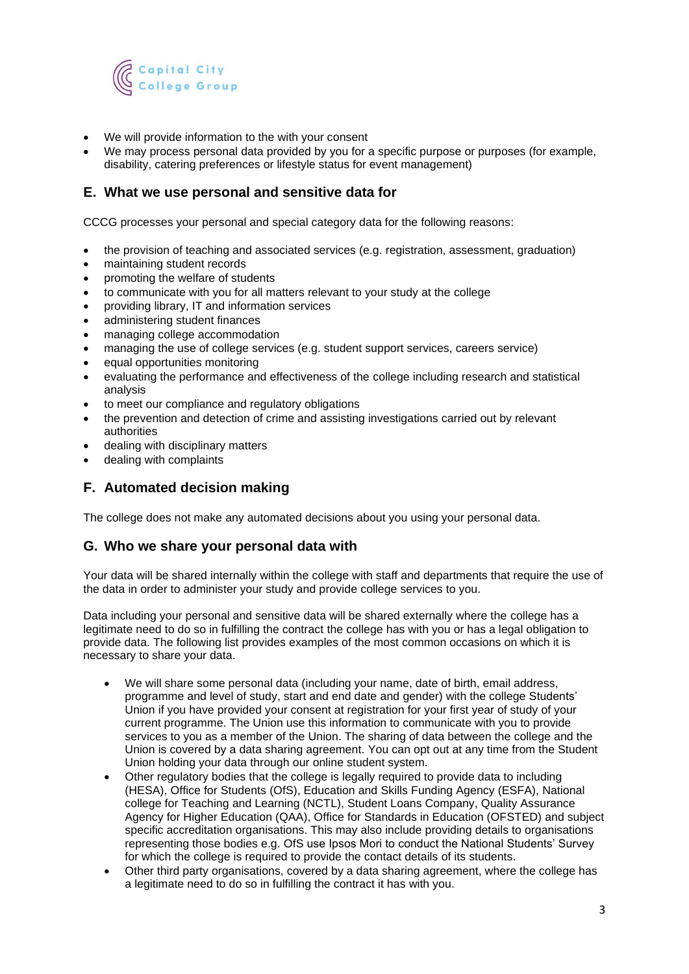

- We will provide information to the with your consent
- We may process personal data provided by you for a specific purpose or purposes (for example, disability, catering preferences or lifestyle status for event management)

## <span id="page-2-0"></span>**E. What we use personal and sensitive data for**

CCCG processes your personal and special category data for the following reasons:

- the provision of teaching and associated services (e.g. registration, assessment, graduation)
- maintaining student records
- promoting the welfare of students
- to communicate with you for all matters relevant to your study at the college
- providing library, IT and information services
- administering student finances
- managing college accommodation
- managing the use of college services (e.g. student support services, careers service)
- equal opportunities monitoring
- evaluating the performance and effectiveness of the college including research and statistical analysis
- to meet our compliance and regulatory obligations
- the prevention and detection of crime and assisting investigations carried out by relevant authorities
- dealing with disciplinary matters
- dealing with complaints

# <span id="page-2-1"></span>**F. Automated decision making**

The college does not make any automated decisions about you using your personal data.

#### <span id="page-2-2"></span>**G. Who we share your personal data with**

Your data will be shared internally within the college with staff and departments that require the use of the data in order to administer your study and provide college services to you.

Data including your personal and sensitive data will be shared externally where the college has a legitimate need to do so in fulfilling the contract the college has with you or has a legal obligation to provide data. The following list provides examples of the most common occasions on which it is necessary to share your data.

- We will share some personal data (including your name, date of birth, email address, programme and level of study, start and end date and gender) with the college Students' Union if you have provided your consent at registration for your first year of study of your current programme. The Union use this information to communicate with you to provide services to you as a member of the Union. The sharing of data between the college and the Union is covered by a data sharing agreement. You can opt out at any time from the Student Union holding your data through our online student system.
- Other regulatory bodies that the college is legally required to provide data to including (HESA), Office for Students (OfS), Education and Skills Funding Agency (ESFA), National college for Teaching and Learning (NCTL), Student Loans Company, Quality Assurance Agency for Higher Education (QAA), Office for Standards in Education (OFSTED) and subject specific accreditation organisations. This may also include providing details to organisations representing those bodies e.g. OfS use Ipsos Mori to conduct the National Students' Survey for which the college is required to provide the contact details of its students.
- Other third party organisations, covered by a data sharing agreement, where the college has a legitimate need to do so in fulfilling the contract it has with you.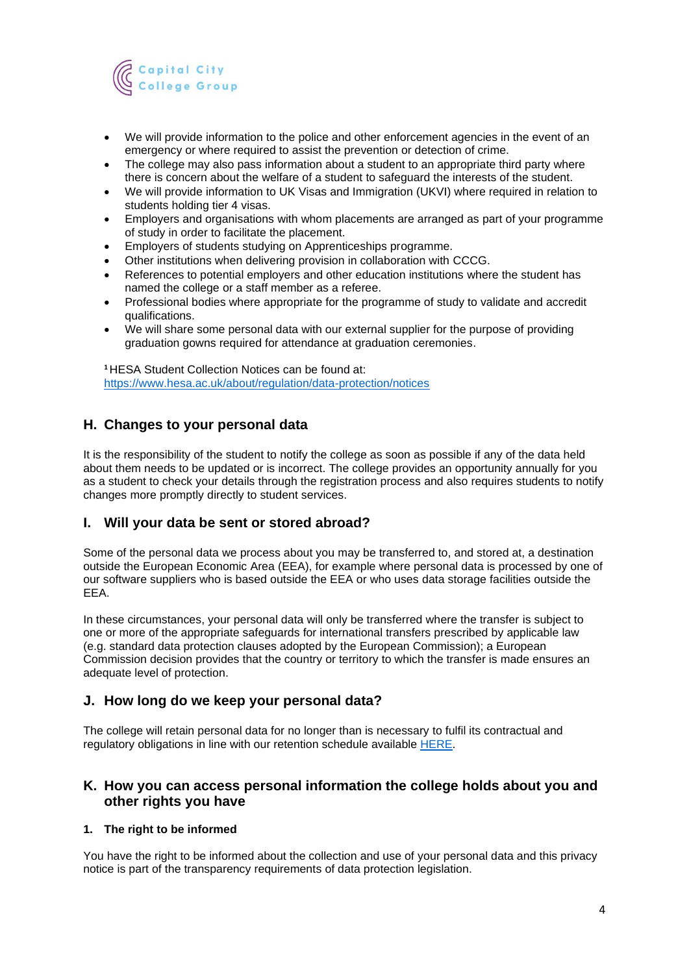

- We will provide information to the police and other enforcement agencies in the event of an emergency or where required to assist the prevention or detection of crime.
- The college may also pass information about a student to an appropriate third party where there is concern about the welfare of a student to safeguard the interests of the student.
- We will provide information to UK Visas and Immigration (UKVI) where required in relation to students holding tier 4 visas.
- Employers and organisations with whom placements are arranged as part of your programme of study in order to facilitate the placement.
- Employers of students studying on Apprenticeships programme.
- Other institutions when delivering provision in collaboration with CCCG.
- References to potential employers and other education institutions where the student has named the college or a staff member as a referee.
- Professional bodies where appropriate for the programme of study to validate and accredit qualifications.
- We will share some personal data with our external supplier for the purpose of providing graduation gowns required for attendance at graduation ceremonies.

**<sup>1</sup>**HESA Student Collection Notices can be found at: <https://www.hesa.ac.uk/about/regulation/data-protection/notices>

# <span id="page-3-0"></span>**H. Changes to your personal data**

It is the responsibility of the student to notify the college as soon as possible if any of the data held about them needs to be updated or is incorrect. The college provides an opportunity annually for you as a student to check your details through the registration process and also requires students to notify changes more promptly directly to student services.

### <span id="page-3-1"></span>**I. Will your data be sent or stored abroad?**

Some of the personal data we process about you may be transferred to, and stored at, a destination outside the European Economic Area (EEA), for example where personal data is processed by one of our software suppliers who is based outside the EEA or who uses data storage facilities outside the EEA.

In these circumstances, your personal data will only be transferred where the transfer is subject to one or more of the appropriate safeguards for international transfers prescribed by applicable law (e.g. standard data protection clauses adopted by the European Commission); a European Commission decision provides that the country or territory to which the transfer is made ensures an adequate level of protection.

### <span id="page-3-2"></span>**J. How long do we keep your personal data?**

The college will retain personal data for no longer than is necessary to fulfil its contractual and regulatory obligations in line with our retention schedule available [HERE.](https://fecollegeslondon.sharepoint.com/sites/centralservices/PolicyCentre/Pages/Governance-%26-Policies-Homepage.aspx)

# <span id="page-3-3"></span>**K. How you can access personal information the college holds about you and other rights you have**

#### **1. The right to be informed**

You have the right to be informed about the collection and use of your personal data and this privacy notice is part of the transparency requirements of data protection legislation.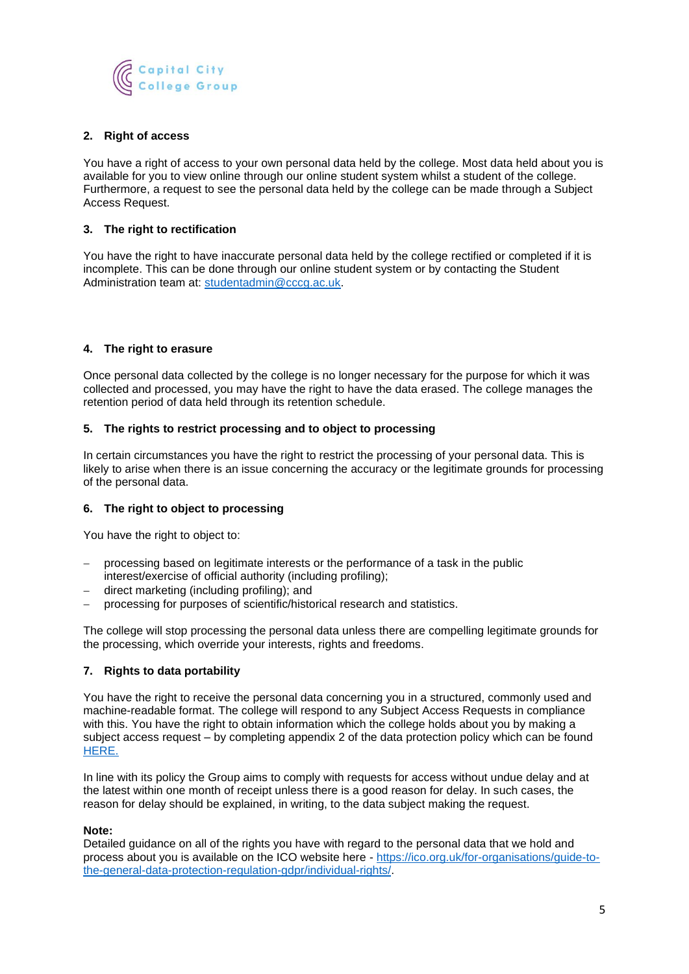

#### **2. Right of access**

You have a right of access to your own personal data held by the college. Most data held about you is available for you to view online through our online student system whilst a student of the college. Furthermore, a request to see the personal data held by the college can be made through a Subject Access Request.

#### **3. The right to rectification**

You have the right to have inaccurate personal data held by the college rectified or completed if it is incomplete. This can be done through our online student system or by contacting the Student Administration team at: [studentadmin@cccg.ac.uk.](mailto:studentadmin@cccg.ac.uk)

#### **4. The right to erasure**

Once personal data collected by the college is no longer necessary for the purpose for which it was collected and processed, you may have the right to have the data erased. The college manages the retention period of data held through its retention schedule.

#### **5. The rights to restrict processing and to object to processing**

In certain circumstances you have the right to restrict the processing of your personal data. This is likely to arise when there is an issue concerning the accuracy or the legitimate grounds for processing of the personal data.

#### **6. The right to object to processing**

You have the right to object to:

- processing based on legitimate interests or the performance of a task in the public interest/exercise of official authority (including profiling);
- − direct marketing (including profiling); and
- − processing for purposes of scientific/historical research and statistics.

The college will stop processing the personal data unless there are compelling legitimate grounds for the processing, which override your interests, rights and freedoms.

#### **7. Rights to data portability**

You have the right to receive the personal data concerning you in a structured, commonly used and machine-readable format. The college will respond to any Subject Access Requests in compliance with this. You have the right to obtain information which the college holds about you by making a subject access request – by completing appendix 2 of the data protection policy which can be found [HERE.](https://capitalccg.ac.uk/wp-content/uploads/2018/06/Data-Protection-Policy-May-18.pdf)

In line with its policy the Group aims to comply with requests for access without undue delay and at the latest within one month of receipt unless there is a good reason for delay. In such cases, the reason for delay should be explained, in writing, to the data subject making the request.

#### **Note:**

Detailed guidance on all of the rights you have with regard to the personal data that we hold and process about you is available on the ICO website here - [https://ico.org.uk/for-organisations/guide-to](https://ico.org.uk/for-organisations/guide-to-the-general-data-protection-regulation-gdpr/individual-rights/)[the-general-data-protection-regulation-gdpr/individual-rights/.](https://ico.org.uk/for-organisations/guide-to-the-general-data-protection-regulation-gdpr/individual-rights/)